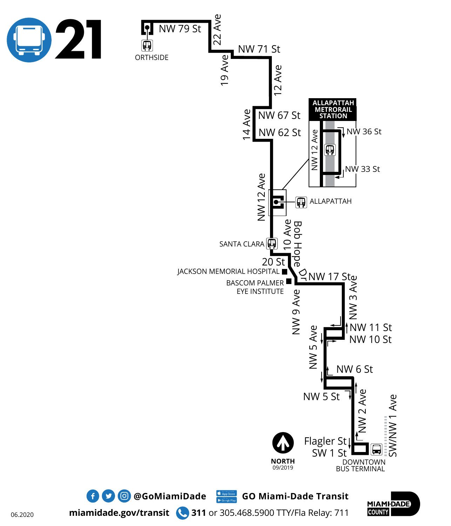



**miamidade.gov/transit 311** or 305.468.5900 TTY/Fla Relay: 711

 $\bullet$  **0 @GoMiamiDade** GO Miami-Dade Transit

**MIAMIDADE COUNTY**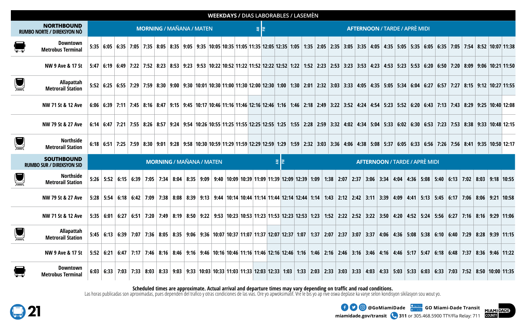|                  | <b>WEEKDAYS / DIAS LABORABLES / LASEMÈN</b>           |                                 |                     |  |  |  |  |  |  |                                 |                                                                                                                                                                                                                |  |  |  |                                                          |  |  |  |  |  |  |  |  |  |  |  |      |                                              |  |  |  |
|------------------|-------------------------------------------------------|---------------------------------|---------------------|--|--|--|--|--|--|---------------------------------|----------------------------------------------------------------------------------------------------------------------------------------------------------------------------------------------------------------|--|--|--|----------------------------------------------------------|--|--|--|--|--|--|--|--|--|--|--|------|----------------------------------------------|--|--|--|
|                  | <b>NORTHBOUND</b><br>RUMBO NORTE / DIREKSYON NÒ       | <b>MORNING / MAÑANA / MATEN</b> |                     |  |  |  |  |  |  |                                 |                                                                                                                                                                                                                |  |  |  | <b>AFTERNOON / TARDE / APRÈ MIDI</b><br>$\sum_{k=1}^{n}$ |  |  |  |  |  |  |  |  |  |  |  |      |                                              |  |  |  |
| Ţ                | <b>Downtown</b><br><b>Metrobus Terminal</b>           |                                 |                     |  |  |  |  |  |  |                                 | 5:35 6:05 6:35 7:05 7:35 8:05 8:35 9:05 7:35 8:05 8:35 9:05 9:35 10:05 10:35 11:05 11:35 12:05 12:35 1:05 1:35 2:05 3:35 4:05 4:35 5:05 5:35 6:05 6:35 7:05 7:54 8:52 10:07 11:38                              |  |  |  |                                                          |  |  |  |  |  |  |  |  |  |  |  |      |                                              |  |  |  |
|                  | NW 9 Ave & 17 St                                      |                                 |                     |  |  |  |  |  |  |                                 | 5:47 6:19 6:49 7:22 7:52 8:09 9:06 10:21 11:50 5:47 6:19 6:49 7:22 7:52 8:53 9:23 9:53 9:23 9:53 10:22 10:52 11:52 12:22 12:52 1:52 2:53 3:53 4:23 4:53 5:23 5:53 6:20 6:50 7:20 8:09 9:06 10:21 11:50         |  |  |  |                                                          |  |  |  |  |  |  |  |  |  |  |  |      |                                              |  |  |  |
| $\sum_{i=1}^{n}$ | Allapattah<br><b>Metrorail Station</b>                |                                 |                     |  |  |  |  |  |  |                                 | 5:52 6:25 6:54 6:27 6:55 7:29 7:29 7:52 7:53 7:29 7:59 8:30 9:00 9:30 10:01 10:30 11:00 11:30 2:00 12:30 1:00 1:30 2:01 2:32 3:03 3:33 4:05 4:35 5:05 5:34 6:04 6:27 6:57 7:27 8:15 9:12 10:27 11:55           |  |  |  |                                                          |  |  |  |  |  |  |  |  |  |  |  |      |                                              |  |  |  |
|                  | NW 71 St & 12 Ave                                     |                                 |                     |  |  |  |  |  |  |                                 | 6:06 6:39 7:11 7:45 8:16 8:47 9:15 9:45 10:17 10:46 11:16 11:46 12:16 12:46 1:16 12:46 12:16 12:46 12:16 12:46 12:16 12:49 3:22 3:52 4:24 4:54 5:23 5:52 6:20 6:43 7:13 7:43 8:29 9:25 10:40 12:08             |  |  |  |                                                          |  |  |  |  |  |  |  |  |  |  |  |      |                                              |  |  |  |
|                  | NW 79 St & 27 Ave                                     |                                 |                     |  |  |  |  |  |  |                                 | 6:14 6:47 7:21 7:55 8:26 8:37 9:24 9:54 10:26 10:55 11:25 11:55 12:25 12:55 1:25 1:55 2:28 2:59 3:32 4:02 4:34 5:04 5:33 6:02 6:30 6:30 6:53 7:23 7:53 8:38 9:33 10:48 12:15                                   |  |  |  |                                                          |  |  |  |  |  |  |  |  |  |  |  |      |                                              |  |  |  |
|                  | <b>Northside</b><br><b>Metrorail Station</b>          |                                 |                     |  |  |  |  |  |  |                                 | 6:18 6:51 7:25 7:59 8:41 9:35 10:50 8:41 9:35 8:41 9:35 10:30 9:58 10:30 10:59 11:29 11:59 2:29 12:59 12:59 12:59 12:59 2:32 3:03 3:36 4:06 4:38 5:08 5:37 6:05 6:33 6:56 7:26 7:26 7:26 8:41 9:35 10:50 12:17 |  |  |  |                                                          |  |  |  |  |  |  |  |  |  |  |  |      |                                              |  |  |  |
|                  | <b>SOUTHBOUND</b><br><b>RUMBO SUR / DIREKSYON SID</b> |                                 |                     |  |  |  |  |  |  | <b>MORNING / MAÑANA / MATEN</b> |                                                                                                                                                                                                                |  |  |  | 통<br><b>AFTERNOON / TARDE / APRÈ MIDI</b>                |  |  |  |  |  |  |  |  |  |  |  |      |                                              |  |  |  |
| $\sum_{i=1}^n$   | <b>Northside</b><br><b>Metrorail Station</b>          |                                 |                     |  |  |  |  |  |  |                                 | 5:26 5:52 6:15 6:39 7:05 7:34 8:04 8:35 9:09 9:40 10:09 10:39 11:09 11:39 12:09 12:39 1:09 1:38 2:07 2:37 3:06 3:34 4:04 4:36 5:08 5:40 6:13 7:02 8:03 9:18 10:55                                              |  |  |  |                                                          |  |  |  |  |  |  |  |  |  |  |  |      |                                              |  |  |  |
|                  | NW 79 St & 27 Ave                                     |                                 |                     |  |  |  |  |  |  |                                 | 5:28 5:54 6:18 6:42 7:09 7:38 8:08 8:39 9:13 9:44 10:14 10:44 11:14 11:44 12:14 12:44 1:14 1:43 2:12 2:42 3:11 3:39 4:09 4:41 5:13 5:45 6:17 7:06 8:06 9:21 10:58                                              |  |  |  |                                                          |  |  |  |  |  |  |  |  |  |  |  |      |                                              |  |  |  |
|                  | NW 71 St & 12 Ave                                     |                                 |                     |  |  |  |  |  |  |                                 | 5:35 6:01 6:27 6:51 7:20 7:49 8:19 8:50 9:22 9:53 10:23 10:53 11:23 11:53 12:23 12:53 1:23 1:52 2:22 2:52 2:52 3:22 3:50 4:20 4:52 5:24 5:56 6:27 7:16 8:16 9:29 11:06                                         |  |  |  |                                                          |  |  |  |  |  |  |  |  |  |  |  |      |                                              |  |  |  |
| $\sum_{i=1}^{n}$ | Allapattah<br><b>Metrorail Station</b>                |                                 |                     |  |  |  |  |  |  |                                 | 5:45 6:18 6:39 7:07 7:36 8:05 8:35 9:06 9:36 10:07 10:37 11:07 11:37 12:07 12:37 1:07 1:37 2:07 2:37 3:07 3:37 4:06 4:36 5:08 5:38 6:10 6:40 7:29 8:28 9:39 11:15                                              |  |  |  |                                                          |  |  |  |  |  |  |  |  |  |  |  |      |                                              |  |  |  |
|                  | NW 9 Ave & 17 St                                      |                                 | $5:52 \mid 6:21$    |  |  |  |  |  |  |                                 | 6:47 7:17 7:46 8:16 8:46 9:16 9:46 10:16 10:46 11:16 11:46 12:16 12:46 1:16 1:46 2:16 2:46 3:16 3:46 4:16 4:46 5:17                                                                                            |  |  |  |                                                          |  |  |  |  |  |  |  |  |  |  |  | 5:47 | $6:18$   $6:48$   7:37   8:36   9:46   11:22 |  |  |  |
|                  | <b>Downtown</b><br><b>Metrobus Terminal</b>           |                                 | $6:03 \;   \; 6:33$ |  |  |  |  |  |  |                                 | 7:03 7:33 8:03 8:33 9:03 9:33 10:03 10:33 11:03 11:33 12:03 12:33 1:03 1:33 2:03 2:33 3:03 3:33 4:03 4:33 5:03 5:33 6:03 6:33 7:03 7:52 8:50 10:00 11:35                                                       |  |  |  |                                                          |  |  |  |  |  |  |  |  |  |  |  |      |                                              |  |  |  |

**Scheduled times are approximate. Actual arrival and departure times may vary depending on traffic and road conditions.** 

Las horas publicadas son aproximadas, pues dependen del trafico y otras condiciones de las vias. Ore yo apwoksimatif. Vre le bis yo ap rive oswa deplase ka varye selon kondisyon sikilasyon sou wout yo.





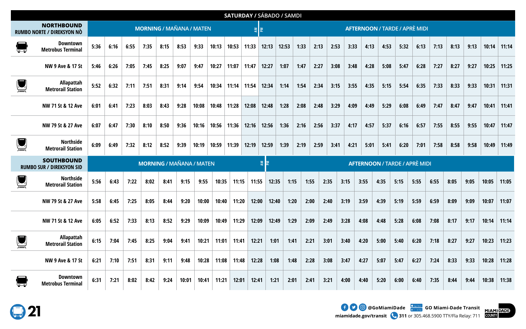|                  |                                                       |      |      |      |      |      |                                 |       |       | <b>SATURDAY / SÁBADO / SAMDI</b> |       |                  |       |      |                                      |                                      |      |      |      |      |      |      |      |      |       |       |  |  |
|------------------|-------------------------------------------------------|------|------|------|------|------|---------------------------------|-------|-------|----------------------------------|-------|------------------|-------|------|--------------------------------------|--------------------------------------|------|------|------|------|------|------|------|------|-------|-------|--|--|
|                  | <b>NORTHBOUND</b><br>RUMBO NORTE / DIREKSYON NÒ       |      |      |      |      |      | <b>MORNING / MAÑANA / MATEN</b> |       |       |                                  |       | $\sum_{k=1}^{n}$ |       |      | <b>AFTERNOON / TARDE / APRÈ MIDI</b> |                                      |      |      |      |      |      |      |      |      |       |       |  |  |
|                  | Downtown<br><b>Metrobus Terminal</b>                  | 5:36 | 6:16 | 6:55 | 7:35 | 8:15 | 8:53                            | 9:33  | 10:13 | 10:53                            | 11:33 | 12:13            | 12:53 | 1:33 | 2:13                                 | 2:53                                 | 3:33 | 4:13 | 4:53 | 5:32 | 6:13 | 7:13 | 8:13 | 9:13 | 10:14 | 11:14 |  |  |
|                  | NW 9 Ave & 17 St                                      | 5:46 | 6:26 | 7:05 | 7:45 | 8:25 | 9:07                            | 9:47  | 10:27 | 11:07                            | 11:47 | 12:27            | 1:07  | 1:47 | 2:27                                 | 3:08                                 | 3:48 | 4:28 | 5:08 | 5:47 | 6:28 | 7:27 | 8:27 | 9:27 | 10:25 | 11:25 |  |  |
|                  | Allapattah<br><b>Metrorail Station</b>                | 5:52 | 6:32 | 7:11 | 7:51 | 8:31 | 9:14                            | 9:54  | 10:34 | 11:14                            | 11:54 | 12:34            | 1:14  | 1:54 | 2:34                                 | 3:15                                 | 3:55 | 4:35 | 5:15 | 5:54 | 6:35 | 7:33 | 8:33 | 9:33 | 10:31 | 11:31 |  |  |
|                  | NW 71 St & 12 Ave                                     | 6:01 | 6:41 | 7:23 | 8:03 | 8:43 | 9:28                            | 10:08 | 10:48 | 11:28                            | 12:08 | 12:48            | 1:28  | 2:08 | 2:48                                 | 3:29                                 | 4:09 | 4:49 | 5:29 | 6:08 | 6:49 | 7:47 | 8:47 | 9:47 | 10:41 | 11:41 |  |  |
|                  | NW 79 St & 27 Ave                                     | 6:07 | 6:47 | 7:30 | 8:10 | 8:50 | 9:36                            | 10:16 | 10:56 | 11:36                            | 12:16 | 12:56            | 1:36  | 2:16 | 2:56                                 | 3:37                                 | 4:17 | 4:57 | 5:37 | 6:16 | 6:57 | 7:55 | 8:55 | 9:55 | 10:47 | 11:47 |  |  |
| $\mathbf{L}$     | <b>Northside</b><br><b>Metrorail Station</b>          | 6:09 | 6:49 | 7:32 | 8:12 | 8:52 | 9:39                            | 10:19 | 10:59 | 11:39                            | 12:19 | 12:59            | 1:39  | 2:19 | 2:59                                 | 3:41                                 | 4:21 | 5:01 | 5:41 | 6:20 | 7:01 | 7:58 | 8:58 | 9:58 | 10:49 | 11:49 |  |  |
|                  | <b>SOUTHBOUND</b><br><b>RUMBO SUR / DIREKSYON SID</b> |      |      |      |      |      | <b>MORNING / MAÑANA / MATEN</b> |       |       |                                  |       | 引                |       |      |                                      | <b>AFTERNOON / TARDE / APRÈ MIDI</b> |      |      |      |      |      |      |      |      |       |       |  |  |
| $\sum_{i=1}^{n}$ | <b>Northside</b><br><b>Metrorail Station</b>          | 5:56 | 6:43 | 7:22 | 8:02 | 8:41 | 9:15                            | 9:55  | 10:35 | 11:15                            | 11:55 | 12:35            |       | 1:15 | 1:55                                 | 2:35                                 | 3:15 | 3:55 | 4:35 | 5:15 | 5:55 | 6:55 | 8:05 | 9:05 | 10:05 | 11:05 |  |  |
|                  | NW 79 St & 27 Ave                                     | 5:58 | 6:45 | 7:25 | 8:05 | 8:44 | 9:20                            | 10:00 | 10:40 | 11:20                            | 12:00 | 12:40            |       | 1:20 | 2:00                                 | 2:40                                 | 3:19 | 3:59 | 4:39 | 5:19 | 5:59 | 6:59 | 8:09 | 9:09 | 10:07 | 11:07 |  |  |
|                  | NW 71 St & 12 Ave                                     | 6:05 | 6:52 | 7:33 | 8:13 | 8:52 | 9:29                            | 10:09 | 10:49 | 11:29                            | 12:09 | 12:49            |       | 1:29 | 2:09                                 | 2:49                                 | 3:28 | 4:08 | 4:48 | 5:28 | 6:08 | 7:08 | 8:17 | 9:17 | 10:14 | 11:14 |  |  |
|                  | Allapattah<br><b>Metrorail Station</b>                | 6:15 | 7:04 | 7:45 | 8:25 | 9:04 | 9:41                            | 10:21 | 11:01 | 11:41                            | 12:21 | 1:01             |       | 1:41 | 2:21                                 | 3:01                                 | 3:40 | 4:20 | 5:00 | 5:40 | 6:20 | 7:18 | 8:27 | 9:27 | 10:23 | 11:23 |  |  |
|                  | NW 9 Ave & 17 St                                      | 6:21 | 7:10 | 7:51 | 8:31 | 9:11 | 9:48                            | 10:28 | 11:08 | 11:48                            | 12:28 | 1:08             |       | 1:48 | 2:28                                 | 3:08                                 | 3:47 | 4:27 | 5:07 | 5:47 | 6:27 | 7:24 | 8:33 | 9:33 | 10:28 | 11:28 |  |  |
|                  | <b>Downtown</b><br><b>Metrobus Terminal</b>           | 6:31 | 7:21 | 8:02 | 8:42 | 9:24 | 10:01                           | 10:41 | 11:21 | 12:01                            | 12:41 | 1:21             |       | 2:01 | 2:41                                 | 3:21                                 | 4:00 | 4:40 | 5:20 | 6:00 | 6:40 | 7:35 | 8:44 | 9:44 | 10:38 | 11:38 |  |  |